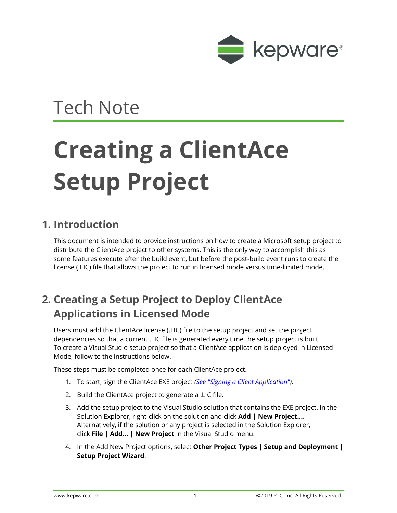

## Tech Note

## **Creating a ClientAce Setup Project**

## **1. Introduction**

This document is intended to provide instructions on how to create a Microsoft setup project to distribute the ClientAce project to other systems. This is the only way to accomplish this as some features execute after the build event, but before the post-build event runs to create the license (.LIC) file that allows the project to run in licensed mode versus time-limited mode.

## **2. Creating a Setup Project to Deploy ClientAce Applications in Licensed Mode**

Users must add the ClientAce license (.LIC) file to the setup project and set the project dependencies so that a current .LIC file is generated every time the setup project is built. To create a Visual Studio setup project so that a ClientAce application is deployed in Licensed Mode, follow to the instructions below.

These steps must be completed once for each ClientAce project.

- 1. To start, sign the ClientAce EXE project *[\(See "Signing a Client Application"\)](https://www.kepware.com/getattachment/1ab90bb4-9f2f-45a6-ac86-afcb9d1b31d1/clientace-manual.pdf#page-137)*.
- 2. Build the ClientAce project to generate a .LIC file.
- 3. Add the setup project to the Visual Studio solution that contains the EXE project. In the Solution Explorer, right-click on the solution and click **Add | New Project...**. Alternatively, if the solution or any project is selected in the Solution Explorer, click **File | Add... | New Project** in the Visual Studio menu.
- 4. In the Add New Project options, select **Other Project Types | Setup and Deployment | Setup Project Wizard**.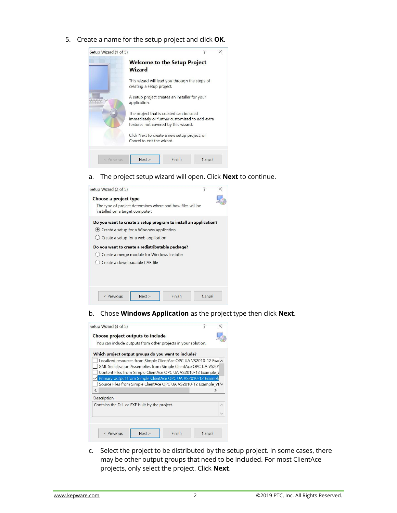5. Create a name for the setup project and click **OK**.

| Setup Wizard (1 of 5) |                                                                                                                                   |        |  |
|-----------------------|-----------------------------------------------------------------------------------------------------------------------------------|--------|--|
|                       | <b>Welcome to the Setup Project</b><br><b>Wizard</b>                                                                              |        |  |
|                       | This wizard will lead you through the steps of<br>creating a setup project.                                                       |        |  |
|                       | A setup project creates an installer for your<br>application.                                                                     |        |  |
|                       | The project that is created can be used<br>immediately or further customized to add extra<br>features not covered by this wizard. |        |  |
|                       | Click Next to create a new setup project, or<br>Cancel to exit the wizard.                                                        |        |  |
| < Previous            | Finish<br>Next >                                                                                                                  | Cancel |  |

a. The project setup wizard will open. Click **Next** to continue.

| Setup Wizard (2 of 5)                                                                                                                                                                                                                                                                                        | ?      |  |
|--------------------------------------------------------------------------------------------------------------------------------------------------------------------------------------------------------------------------------------------------------------------------------------------------------------|--------|--|
| Choose a project type<br>The type of project determines where and how files will be<br>installed on a target computer.                                                                                                                                                                                       |        |  |
| Do you want to create a setup program to install an application?<br>● Create a setup for a Windows application<br>$\bigcirc$ Create a setup for a web application<br>Do you want to create a redistributable package?<br>(c) Create a merge module for Windows Installer<br>C Create a downloadable CAB file |        |  |
| Finish<br>Next ><br>$\le$ Previous                                                                                                                                                                                                                                                                           | Cancel |  |

b. Chose **Windows Application** as the project type then click **Next**.

| Setup Wizard (3 of 5)                                         |                                                                                                                                                                                                                                                                         |        | ?      |  |
|---------------------------------------------------------------|-------------------------------------------------------------------------------------------------------------------------------------------------------------------------------------------------------------------------------------------------------------------------|--------|--------|--|
| Choose project outputs to include                             |                                                                                                                                                                                                                                                                         |        |        |  |
| You can include outputs from other projects in your solution. |                                                                                                                                                                                                                                                                         |        |        |  |
| Which project output groups do you want to include?           |                                                                                                                                                                                                                                                                         |        |        |  |
|                                                               | Localized resources from Simple ClientAce OPC UA VS2010-12 Exal A<br>XML Serialization Assemblies from Simple ClientAce OPC UA VS20'<br>Content Files from Simple ClientAce OPC UA VS2010-12 Example \<br>Primary output from Simple ClientAce OPC UA VS2010-12 Example |        |        |  |
| ∢                                                             | Source Files from Simple ClientAce OPC UA VS2010-12 Example VI V                                                                                                                                                                                                        |        |        |  |
| Description:                                                  |                                                                                                                                                                                                                                                                         |        |        |  |
| Contains the DLL or EXE built by the project.                 |                                                                                                                                                                                                                                                                         |        |        |  |
|                                                               |                                                                                                                                                                                                                                                                         |        |        |  |
|                                                               |                                                                                                                                                                                                                                                                         |        |        |  |
| $<$ Previous                                                  | Next >                                                                                                                                                                                                                                                                  | Finish | Cancel |  |

c. Select the project to be distributed by the setup project. In some cases, there may be other output groups that need to be included. For most ClientAce projects, only select the project. Click **Next**.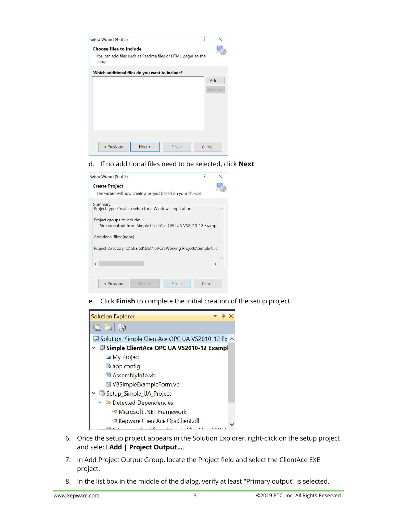| Setup Wizard (4 of 5)                                                 |        | ?      |        |
|-----------------------------------------------------------------------|--------|--------|--------|
| <b>Choose files to include</b>                                        |        |        |        |
| You can add files such as Readme files or HTML pages to the<br>setup. |        |        |        |
| Which additional files do you want to include?                        |        |        |        |
|                                                                       |        |        | Add    |
|                                                                       |        |        | Remove |
|                                                                       |        |        |        |
|                                                                       |        |        |        |
|                                                                       |        |        |        |
|                                                                       |        |        |        |
|                                                                       |        |        |        |
|                                                                       |        |        |        |
| $<$ Previous<br>Next >                                                | Finish | Cancel |        |

d. If no additional files need to be selected, click **Next**.

| Setup Wizard (5 of 5)                                                                      |  |
|--------------------------------------------------------------------------------------------|--|
| <b>Create Project</b>                                                                      |  |
| The wizard will now create a project based on your choices.                                |  |
| Summary:<br>Project type: Create a setup for a Windows application                         |  |
| Project groups to include:<br>Primary output from Simple ClientAce OPC UA VS2010-12 Exampl |  |
| Additional files: (none)                                                                   |  |
| Project Directory: C:\Shared\DotNet\CA Working Projects\Simple Clie                        |  |
|                                                                                            |  |
| Ł                                                                                          |  |
|                                                                                            |  |
|                                                                                            |  |

e. Click **Finish** to complete the initial creation of the setup project.



- 6. Once the setup project appears in the Solution Explorer, right-click on the setup project and select **Add | Project Output...**.
- 7. In Add Project Output Group, locate the Project field and select the ClientAce EXE project.
- 8. In the list box in the middle of the dialog, verify at least "Primary output" is selected.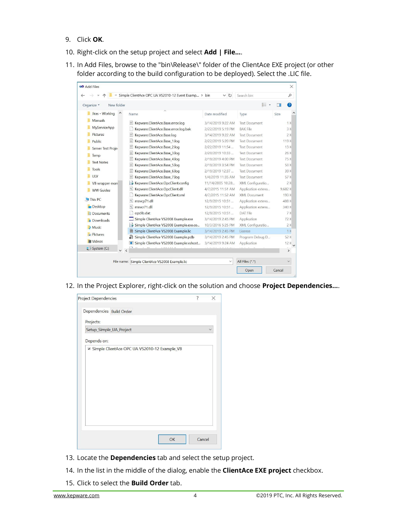- 9. Click **OK**.
- 10. Right-click on the setup project and select **Add | File...**.
- 11. In Add Files, browse to the "bin\Release\" folder of the ClientAce EXE project (or other folder according to the build configuration to be deployed). Select the .LIC file.

| Jiras - Working<br>Date modified<br>Size<br><b>Name</b><br>Type<br>Manuals<br>Kepware.ClientAce.Base.error.log<br>3/14/2019 9:22 AM<br><b>Text Document</b><br>MyServiceApp<br>Kepware.ClientAce.Base.error.log.bak<br>2/22/2019 5:19 PM<br><b>BAK File</b><br>Pictures<br>E<br>Kepware.ClientAce.Base.log<br>3/14/2019 9:22 AM<br><b>Text Document</b><br>E<br>Kepware.ClientAce.Base 1.log<br>2/22/2019 5:20 PM<br>119 K<br><b>Text Document</b><br>Public<br>E<br>Kepware.ClientAce.Base_2.log<br>13K<br>2/22/2019 11:54<br><b>Text Document</b><br>Server Test Proje<br>E<br>Kepware.ClientAce.Base 3.log<br>2/20/2019 10:33<br><b>Text Document</b><br>26 K<br>Temp<br>E<br>Kepware.ClientAce.Base 4.log<br>75 K<br>2/19/2019 4:00 PM<br><b>Text Document</b><br><b>Text Notes</b><br>E<br>53 K<br>Kepware.ClientAce.Base 5.log<br>2/19/2019 3:54 PM<br><b>Text Document</b><br>Tools<br>E<br>Kepware.ClientAce.Base 6.log<br>39 K<br>2/19/2019 12:37<br><b>Text Document</b><br><b>ULV</b><br>E<br>Kepware.ClientAce.Base 7.log<br><b>Text Document</b><br>57 K<br>1/4/2019 11:35 AM<br>Kepware.ClientAce.OpcClient.config<br>11/14/2005 10:28<br>XML Configuratio<br>2K<br>B<br>VB wrapper exan<br>$\left  \alpha \right $<br>Kepware.ClientAce.OpcClient.dll<br>4/7/2015 11:51 AM<br>Application extens<br>9.682 K<br><b>WW Guides</b><br>Kepware.ClientAce.OpcClient.xml<br><b>XMI Document</b><br>193 K<br>4/7/2015 11:52 AM<br>This PC<br>msvcp71.dll<br>12/9/2015 10:51<br>Application extens<br>488 K<br><b>Desktop</b><br>msvcr71.dll<br>12/9/2015 10:51<br>340 K<br>Application extens<br>opclib.dat<br>7 K<br>12/9/2015 10:51<br>DAT File<br><b>E</b> Documents<br>Simple ClientAce VS2008 Example.exe<br>3/14/2019 2:45 PM<br>Application<br>72 K<br><b>Downloads</b><br>Simple ClientAce VS2008 Example.exe.co<br>XML Configuratio<br>2K<br>E.<br>10/3/2016 5:25 PM<br>Music<br>Simple ClientAce VS2008 Example.lic<br>1K<br>3/14/2019 2:45 PM<br>License<br>$F$ Pictures<br>Simple ClientAce VS2008 Example.pdb<br>Program Debug D<br>52 K<br>3/14/2019 2:45 PM<br><b>图</b> Videos<br>12K<br>Simple ClientAce VS2008 Example.vshost<br>3/14/2019 9:24 AM<br>Application<br>System (C:)<br>$\rightarrow$ | New folder<br>Organize * |  | BEE |    |
|----------------------------------------------------------------------------------------------------------------------------------------------------------------------------------------------------------------------------------------------------------------------------------------------------------------------------------------------------------------------------------------------------------------------------------------------------------------------------------------------------------------------------------------------------------------------------------------------------------------------------------------------------------------------------------------------------------------------------------------------------------------------------------------------------------------------------------------------------------------------------------------------------------------------------------------------------------------------------------------------------------------------------------------------------------------------------------------------------------------------------------------------------------------------------------------------------------------------------------------------------------------------------------------------------------------------------------------------------------------------------------------------------------------------------------------------------------------------------------------------------------------------------------------------------------------------------------------------------------------------------------------------------------------------------------------------------------------------------------------------------------------------------------------------------------------------------------------------------------------------------------------------------------------------------------------------------------------------------------------------------------------------------------------------------------------------------------------------------------------------------------------------------------------------------------------------------------------------------|--------------------------|--|-----|----|
|                                                                                                                                                                                                                                                                                                                                                                                                                                                                                                                                                                                                                                                                                                                                                                                                                                                                                                                                                                                                                                                                                                                                                                                                                                                                                                                                                                                                                                                                                                                                                                                                                                                                                                                                                                                                                                                                                                                                                                                                                                                                                                                                                                                                                            |                          |  |     |    |
|                                                                                                                                                                                                                                                                                                                                                                                                                                                                                                                                                                                                                                                                                                                                                                                                                                                                                                                                                                                                                                                                                                                                                                                                                                                                                                                                                                                                                                                                                                                                                                                                                                                                                                                                                                                                                                                                                                                                                                                                                                                                                                                                                                                                                            |                          |  |     | 1K |
|                                                                                                                                                                                                                                                                                                                                                                                                                                                                                                                                                                                                                                                                                                                                                                                                                                                                                                                                                                                                                                                                                                                                                                                                                                                                                                                                                                                                                                                                                                                                                                                                                                                                                                                                                                                                                                                                                                                                                                                                                                                                                                                                                                                                                            |                          |  |     | 3K |
|                                                                                                                                                                                                                                                                                                                                                                                                                                                                                                                                                                                                                                                                                                                                                                                                                                                                                                                                                                                                                                                                                                                                                                                                                                                                                                                                                                                                                                                                                                                                                                                                                                                                                                                                                                                                                                                                                                                                                                                                                                                                                                                                                                                                                            |                          |  |     | 2K |
|                                                                                                                                                                                                                                                                                                                                                                                                                                                                                                                                                                                                                                                                                                                                                                                                                                                                                                                                                                                                                                                                                                                                                                                                                                                                                                                                                                                                                                                                                                                                                                                                                                                                                                                                                                                                                                                                                                                                                                                                                                                                                                                                                                                                                            |                          |  |     |    |
|                                                                                                                                                                                                                                                                                                                                                                                                                                                                                                                                                                                                                                                                                                                                                                                                                                                                                                                                                                                                                                                                                                                                                                                                                                                                                                                                                                                                                                                                                                                                                                                                                                                                                                                                                                                                                                                                                                                                                                                                                                                                                                                                                                                                                            |                          |  |     |    |
|                                                                                                                                                                                                                                                                                                                                                                                                                                                                                                                                                                                                                                                                                                                                                                                                                                                                                                                                                                                                                                                                                                                                                                                                                                                                                                                                                                                                                                                                                                                                                                                                                                                                                                                                                                                                                                                                                                                                                                                                                                                                                                                                                                                                                            |                          |  |     |    |
|                                                                                                                                                                                                                                                                                                                                                                                                                                                                                                                                                                                                                                                                                                                                                                                                                                                                                                                                                                                                                                                                                                                                                                                                                                                                                                                                                                                                                                                                                                                                                                                                                                                                                                                                                                                                                                                                                                                                                                                                                                                                                                                                                                                                                            |                          |  |     |    |
|                                                                                                                                                                                                                                                                                                                                                                                                                                                                                                                                                                                                                                                                                                                                                                                                                                                                                                                                                                                                                                                                                                                                                                                                                                                                                                                                                                                                                                                                                                                                                                                                                                                                                                                                                                                                                                                                                                                                                                                                                                                                                                                                                                                                                            |                          |  |     |    |
|                                                                                                                                                                                                                                                                                                                                                                                                                                                                                                                                                                                                                                                                                                                                                                                                                                                                                                                                                                                                                                                                                                                                                                                                                                                                                                                                                                                                                                                                                                                                                                                                                                                                                                                                                                                                                                                                                                                                                                                                                                                                                                                                                                                                                            |                          |  |     |    |
|                                                                                                                                                                                                                                                                                                                                                                                                                                                                                                                                                                                                                                                                                                                                                                                                                                                                                                                                                                                                                                                                                                                                                                                                                                                                                                                                                                                                                                                                                                                                                                                                                                                                                                                                                                                                                                                                                                                                                                                                                                                                                                                                                                                                                            |                          |  |     |    |
|                                                                                                                                                                                                                                                                                                                                                                                                                                                                                                                                                                                                                                                                                                                                                                                                                                                                                                                                                                                                                                                                                                                                                                                                                                                                                                                                                                                                                                                                                                                                                                                                                                                                                                                                                                                                                                                                                                                                                                                                                                                                                                                                                                                                                            |                          |  |     |    |
|                                                                                                                                                                                                                                                                                                                                                                                                                                                                                                                                                                                                                                                                                                                                                                                                                                                                                                                                                                                                                                                                                                                                                                                                                                                                                                                                                                                                                                                                                                                                                                                                                                                                                                                                                                                                                                                                                                                                                                                                                                                                                                                                                                                                                            |                          |  |     |    |
|                                                                                                                                                                                                                                                                                                                                                                                                                                                                                                                                                                                                                                                                                                                                                                                                                                                                                                                                                                                                                                                                                                                                                                                                                                                                                                                                                                                                                                                                                                                                                                                                                                                                                                                                                                                                                                                                                                                                                                                                                                                                                                                                                                                                                            |                          |  |     |    |
|                                                                                                                                                                                                                                                                                                                                                                                                                                                                                                                                                                                                                                                                                                                                                                                                                                                                                                                                                                                                                                                                                                                                                                                                                                                                                                                                                                                                                                                                                                                                                                                                                                                                                                                                                                                                                                                                                                                                                                                                                                                                                                                                                                                                                            |                          |  |     |    |
|                                                                                                                                                                                                                                                                                                                                                                                                                                                                                                                                                                                                                                                                                                                                                                                                                                                                                                                                                                                                                                                                                                                                                                                                                                                                                                                                                                                                                                                                                                                                                                                                                                                                                                                                                                                                                                                                                                                                                                                                                                                                                                                                                                                                                            |                          |  |     |    |
|                                                                                                                                                                                                                                                                                                                                                                                                                                                                                                                                                                                                                                                                                                                                                                                                                                                                                                                                                                                                                                                                                                                                                                                                                                                                                                                                                                                                                                                                                                                                                                                                                                                                                                                                                                                                                                                                                                                                                                                                                                                                                                                                                                                                                            |                          |  |     |    |
|                                                                                                                                                                                                                                                                                                                                                                                                                                                                                                                                                                                                                                                                                                                                                                                                                                                                                                                                                                                                                                                                                                                                                                                                                                                                                                                                                                                                                                                                                                                                                                                                                                                                                                                                                                                                                                                                                                                                                                                                                                                                                                                                                                                                                            |                          |  |     |    |
|                                                                                                                                                                                                                                                                                                                                                                                                                                                                                                                                                                                                                                                                                                                                                                                                                                                                                                                                                                                                                                                                                                                                                                                                                                                                                                                                                                                                                                                                                                                                                                                                                                                                                                                                                                                                                                                                                                                                                                                                                                                                                                                                                                                                                            |                          |  |     |    |
|                                                                                                                                                                                                                                                                                                                                                                                                                                                                                                                                                                                                                                                                                                                                                                                                                                                                                                                                                                                                                                                                                                                                                                                                                                                                                                                                                                                                                                                                                                                                                                                                                                                                                                                                                                                                                                                                                                                                                                                                                                                                                                                                                                                                                            |                          |  |     |    |
|                                                                                                                                                                                                                                                                                                                                                                                                                                                                                                                                                                                                                                                                                                                                                                                                                                                                                                                                                                                                                                                                                                                                                                                                                                                                                                                                                                                                                                                                                                                                                                                                                                                                                                                                                                                                                                                                                                                                                                                                                                                                                                                                                                                                                            |                          |  |     |    |
|                                                                                                                                                                                                                                                                                                                                                                                                                                                                                                                                                                                                                                                                                                                                                                                                                                                                                                                                                                                                                                                                                                                                                                                                                                                                                                                                                                                                                                                                                                                                                                                                                                                                                                                                                                                                                                                                                                                                                                                                                                                                                                                                                                                                                            |                          |  |     |    |
|                                                                                                                                                                                                                                                                                                                                                                                                                                                                                                                                                                                                                                                                                                                                                                                                                                                                                                                                                                                                                                                                                                                                                                                                                                                                                                                                                                                                                                                                                                                                                                                                                                                                                                                                                                                                                                                                                                                                                                                                                                                                                                                                                                                                                            |                          |  |     |    |

12. In the Project Explorer, right-click on the solution and choose **Project Dependencies...**.

| <b>Project Dependencies</b> |                                                | 7            |
|-----------------------------|------------------------------------------------|--------------|
| Dependencies Build Order    |                                                |              |
| Projects:                   |                                                |              |
| Setup_Simple_UA_Project     |                                                | $\checkmark$ |
| Depends on:                 |                                                |              |
|                             | ⊠ Simple ClientAce OPC UA VS2010-12 Example_VB |              |
|                             |                                                |              |
|                             |                                                |              |
|                             |                                                |              |
|                             |                                                |              |
|                             |                                                |              |
|                             |                                                |              |
|                             |                                                |              |
|                             |                                                |              |
|                             |                                                |              |
|                             |                                                |              |
|                             | OK                                             | Cancel       |

- 13. Locate the **Dependencies** tab and select the setup project.
- 14. In the list in the middle of the dialog, enable the **ClientAce EXE project** checkbox.
- 15. Click to select the **Build Order** tab.